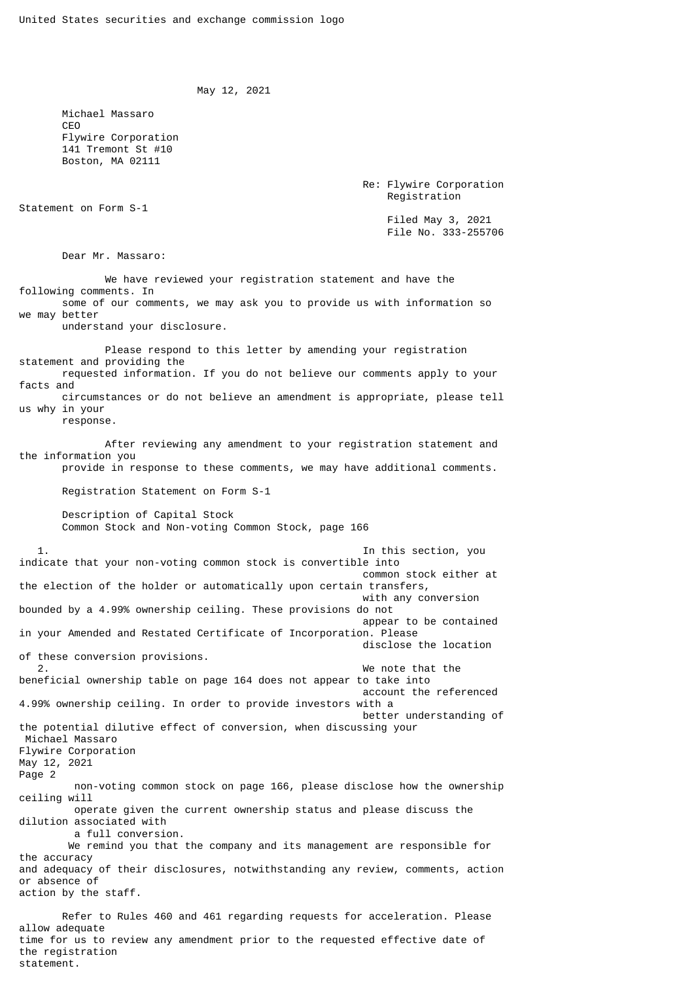```
 May 12, 2021
```
 Michael Massaro **CEO**  Flywire Corporation 141 Tremont St #10 Boston, MA 02111

> Re: Flywire Corporation Registration

Statement on Form S-1

 Filed May 3, 2021 File No. 333-255706

Dear Mr. Massaro:

 We have reviewed your registration statement and have the following comments. In some of our comments, we may ask you to provide us with information so we may better

understand your disclosure.

 Please respond to this letter by amending your registration statement and providing the requested information. If you do not believe our comments apply to your facts and circumstances or do not believe an amendment is appropriate, please tell us why in your

response.

 After reviewing any amendment to your registration statement and the information you

provide in response to these comments, we may have additional comments.

Registration Statement on Form S-1

 Description of Capital Stock Common Stock and Non-voting Common Stock, page 166

 1. In this section, you indicate that your non-voting common stock is convertible into common stock either at the election of the holder or automatically upon certain transfers, with any conversion bounded by a 4.99% ownership ceiling. These provisions do not appear to be contained in your Amended and Restated Certificate of Incorporation. Please disclose the location of these conversion provisions. 2. We note that the beneficial ownership table on page 164 does not appear to take into account the referenced 4.99% ownership ceiling. In order to provide investors with a better understanding of the potential dilutive effect of conversion, when discussing your Michael Massaro Flywire Corporation May 12, 2021 Page 2 non-voting common stock on page 166, please disclose how the ownership ceiling will operate given the current ownership status and please discuss the dilution associated with a full conversion. We remind you that the company and its management are responsible for the accuracy and adequacy of their disclosures, notwithstanding any review, comments, action or absence of action by the staff. Refer to Rules 460 and 461 regarding requests for acceleration. Please allow adequate

time for us to review any amendment prior to the requested effective date of the registration statement.